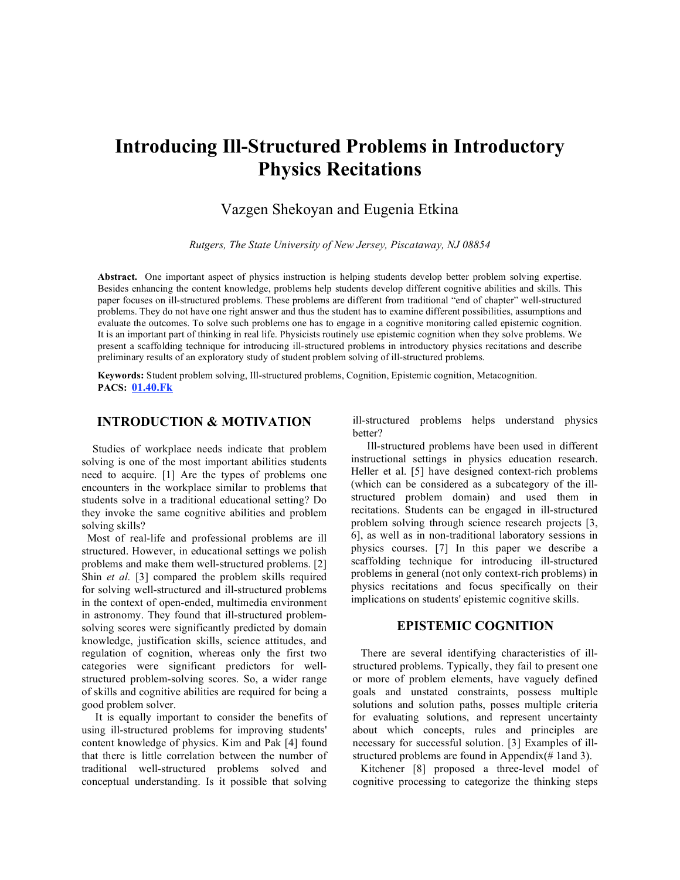# **Introducing Ill-Structured Problems in Introductory Physics Recitations**

# Vazgen Shekoyan and Eugenia Etkina

*Rutgers, The State University of New Jersey, Piscataway, NJ 08854*

**Abstract.** One important aspect of physics instruction is helping students develop better problem solving expertise. Besides enhancing the content knowledge, problems help students develop different cognitive abilities and skills. This paper focuses on ill-structured problems. These problems are different from traditional "end of chapter" well-structured problems. They do not have one right answer and thus the student has to examine different possibilities, assumptions and evaluate the outcomes. To solve such problems one has to engage in a cognitive monitoring called epistemic cognition. It is an important part of thinking in real life. Physicists routinely use epistemic cognition when they solve problems. We present a scaffolding technique for introducing ill-structured problems in introductory physics recitations and describe preliminary results of an exploratory study of student problem solving of ill-structured problems.

**Keywords:** Student problem solving, Ill-structured problems, Cognition, Epistemic cognition, Metacognition. **PACS: 01.40.Fk**

#### **INTRODUCTION & MOTIVATION**

Studies of workplace needs indicate that problem solving is one of the most important abilities students need to acquire. [1] Are the types of problems one encounters in the workplace similar to problems that students solve in a traditional educational setting? Do they invoke the same cognitive abilities and problem solving skills?

Most of real-life and professional problems are ill structured. However, in educational settings we polish problems and make them well-structured problems. [2] Shin *et al.* [3] compared the problem skills required for solving well-structured and ill-structured problems in the context of open-ended, multimedia environment in astronomy. They found that ill-structured problemsolving scores were significantly predicted by domain knowledge, justification skills, science attitudes, and regulation of cognition, whereas only the first two categories were significant predictors for wellstructured problem-solving scores. So, a wider range of skills and cognitive abilities are required for being a good problem solver.

It is equally important to consider the benefits of using ill-structured problems for improving students' content knowledge of physics. Kim and Pak [4] found that there is little correlation between the number of traditional well-structured problems solved and conceptual understanding. Is it possible that solving ill-structured problems helps understand physics better?

Ill-structured problems have been used in different instructional settings in physics education research. Heller et al. [5] have designed context-rich problems (which can be considered as a subcategory of the illstructured problem domain) and used them in recitations. Students can be engaged in ill-structured problem solving through science research projects [3, 6], as well as in non-traditional laboratory sessions in physics courses. [7] In this paper we describe a scaffolding technique for introducing ill-structured problems in general (not only context-rich problems) in physics recitations and focus specifically on their implications on students' epistemic cognitive skills.

#### **EPISTEMIC COGNITION**

There are several identifying characteristics of illstructured problems. Typically, they fail to present one or more of problem elements, have vaguely defined goals and unstated constraints, possess multiple solutions and solution paths, posses multiple criteria for evaluating solutions, and represent uncertainty about which concepts, rules and principles are necessary for successful solution. [3] Examples of illstructured problems are found in Appendix(# 1and 3).

Kitchener [8] proposed a three-level model of cognitive processing to categorize the thinking steps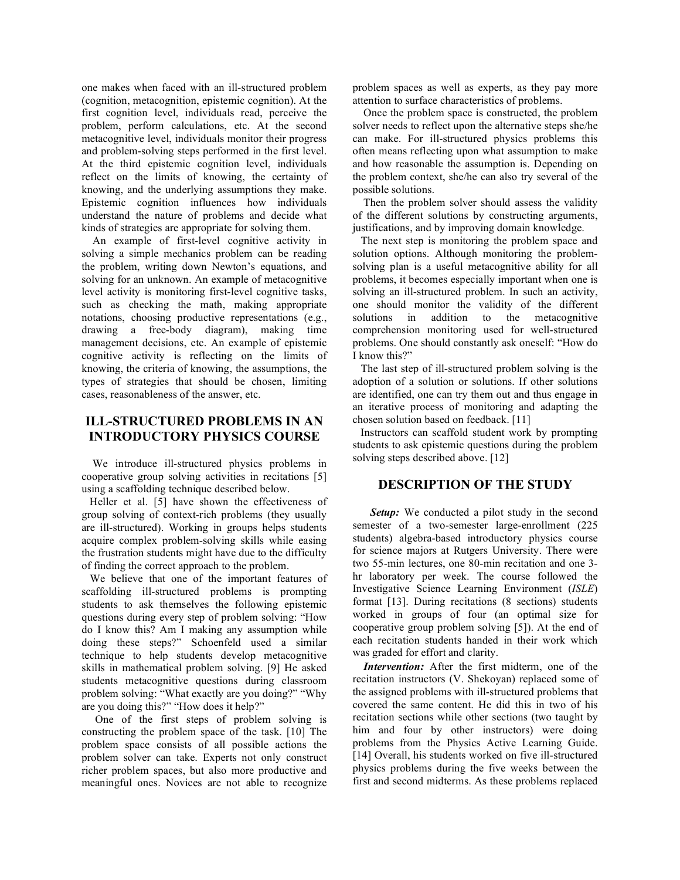one makes when faced with an ill-structured problem (cognition, metacognition, epistemic cognition). At the first cognition level, individuals read, perceive the problem, perform calculations, etc. At the second metacognitive level, individuals monitor their progress and problem-solving steps performed in the first level. At the third epistemic cognition level, individuals reflect on the limits of knowing, the certainty of knowing, and the underlying assumptions they make. Epistemic cognition influences how individuals understand the nature of problems and decide what kinds of strategies are appropriate for solving them.

An example of first-level cognitive activity in solving a simple mechanics problem can be reading the problem, writing down Newton's equations, and solving for an unknown. An example of metacognitive level activity is monitoring first-level cognitive tasks, such as checking the math, making appropriate notations, choosing productive representations (e.g., drawing a free-body diagram), making time management decisions, etc. An example of epistemic cognitive activity is reflecting on the limits of knowing, the criteria of knowing, the assumptions, the types of strategies that should be chosen, limiting cases, reasonableness of the answer, etc.

## **ILL-STRUCTURED PROBLEMS IN AN INTRODUCTORY PHYSICS COURSE**

We introduce ill-structured physics problems in cooperative group solving activities in recitations [5] using a scaffolding technique described below.

Heller et al. [5] have shown the effectiveness of group solving of context-rich problems (they usually are ill-structured). Working in groups helps students acquire complex problem-solving skills while easing the frustration students might have due to the difficulty of finding the correct approach to the problem.

We believe that one of the important features of scaffolding ill-structured problems is prompting students to ask themselves the following epistemic questions during every step of problem solving: "How do I know this? Am I making any assumption while doing these steps?" Schoenfeld used a similar technique to help students develop metacognitive skills in mathematical problem solving. [9] He asked students metacognitive questions during classroom problem solving: "What exactly are you doing?" "Why are you doing this?" "How does it help?"

One of the first steps of problem solving is constructing the problem space of the task. [10] The problem space consists of all possible actions the problem solver can take. Experts not only construct richer problem spaces, but also more productive and meaningful ones. Novices are not able to recognize problem spaces as well as experts, as they pay more attention to surface characteristics of problems.

Once the problem space is constructed, the problem solver needs to reflect upon the alternative steps she/he can make. For ill-structured physics problems this often means reflecting upon what assumption to make and how reasonable the assumption is. Depending on the problem context, she/he can also try several of the possible solutions.

Then the problem solver should assess the validity of the different solutions by constructing arguments, justifications, and by improving domain knowledge.

The next step is monitoring the problem space and solution options. Although monitoring the problemsolving plan is a useful metacognitive ability for all problems, it becomes especially important when one is solving an ill-structured problem. In such an activity, one should monitor the validity of the different solutions in addition to the metacognitive comprehension monitoring used for well-structured problems. One should constantly ask oneself: "How do I know this?"

The last step of ill-structured problem solving is the adoption of a solution or solutions. If other solutions are identified, one can try them out and thus engage in an iterative process of monitoring and adapting the chosen solution based on feedback. [11]

Instructors can scaffold student work by prompting students to ask epistemic questions during the problem solving steps described above. [12]

#### **DESCRIPTION OF THE STUDY**

**Setup:** We conducted a pilot study in the second semester of a two-semester large-enrollment (225 students) algebra-based introductory physics course for science majors at Rutgers University. There were two 55-min lectures, one 80-min recitation and one 3 hr laboratory per week. The course followed the Investigative Science Learning Environment (*ISLE*) format [13]. During recitations (8 sections) students worked in groups of four (an optimal size for cooperative group problem solving [5]). At the end of each recitation students handed in their work which was graded for effort and clarity.

*Intervention:* After the first midterm, one of the recitation instructors (V. Shekoyan) replaced some of the assigned problems with ill-structured problems that covered the same content. He did this in two of his recitation sections while other sections (two taught by him and four by other instructors) were doing problems from the Physics Active Learning Guide. [14] Overall, his students worked on five ill-structured physics problems during the five weeks between the first and second midterms. As these problems replaced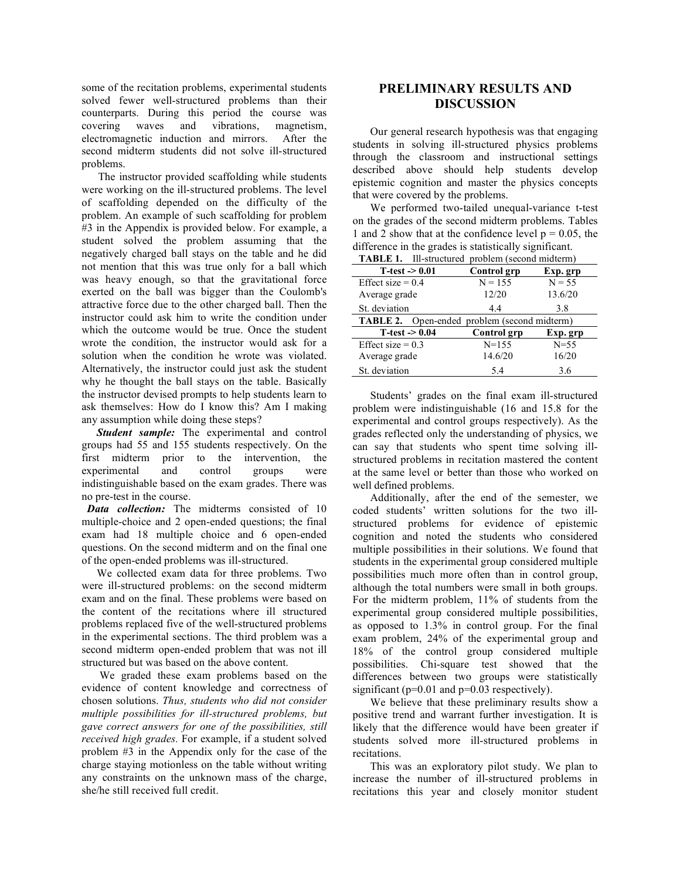some of the recitation problems, experimental students solved fewer well-structured problems than their counterparts. During this period the course was covering waves and vibrations, magnetism, electromagnetic induction and mirrors. After the second midterm students did not solve ill-structured problems.

The instructor provided scaffolding while students were working on the ill-structured problems. The level of scaffolding depended on the difficulty of the problem. An example of such scaffolding for problem #3 in the Appendix is provided below. For example, a student solved the problem assuming that the negatively charged ball stays on the table and he did not mention that this was true only for a ball which was heavy enough, so that the gravitational force exerted on the ball was bigger than the Coulomb's attractive force due to the other charged ball. Then the instructor could ask him to write the condition under which the outcome would be true. Once the student wrote the condition, the instructor would ask for a solution when the condition he wrote was violated. Alternatively, the instructor could just ask the student why he thought the ball stays on the table. Basically the instructor devised prompts to help students learn to ask themselves: How do I know this? Am I making any assumption while doing these steps?

*Student sample:* The experimental and control groups had 55 and 155 students respectively. On the first midterm prior to the intervention, the experimental and control groups were indistinguishable based on the exam grades. There was no pre-test in the course.

*Data collection:* The midterms consisted of 10 multiple-choice and 2 open-ended questions; the final exam had 18 multiple choice and 6 open-ended questions. On the second midterm and on the final one of the open-ended problems was ill-structured.

We collected exam data for three problems. Two were ill-structured problems: on the second midterm exam and on the final. These problems were based on the content of the recitations where ill structured problems replaced five of the well-structured problems in the experimental sections. The third problem was a second midterm open-ended problem that was not ill structured but was based on the above content.

We graded these exam problems based on the evidence of content knowledge and correctness of chosen solutions. *Thus, students who did not consider multiple possibilities for ill-structured problems, but gave correct answers for one of the possibilities, still received high grades.* For example, if a student solved problem #3 in the Appendix only for the case of the charge staying motionless on the table without writing any constraints on the unknown mass of the charge, she/he still received full credit.

## **PRELIMINARY RESULTS AND DISCUSSION**

Our general research hypothesis was that engaging students in solving ill-structured physics problems through the classroom and instructional settings described above should help students develop epistemic cognition and master the physics concepts that were covered by the problems.

We performed two-tailed unequal-variance t-test on the grades of the second midterm problems. Tables 1 and 2 show that at the confidence level  $p = 0.05$ , the difference in the grades is statistically significant.

| <b>TABLE 1.</b> Ill-structured problem (second midterm) |             |          |
|---------------------------------------------------------|-------------|----------|
| $T-test > 0.01$                                         | Control grp | Exp. grp |
| Effect size $= 0.4$                                     | $N = 155$   | $N = 55$ |
| Average grade                                           | 12/20       | 13.6/20  |
| St. deviation                                           | 4.4         | 3.8      |
| <b>TABLE 2.</b> Open-ended problem (second midterm)     |             |          |
| $T-test > 0.04$                                         | Control grp | Exp. grp |
| Effect size = $0.3$                                     | $N = 155$   | $N = 55$ |
| Average grade                                           | 14.6/20     | 16/20    |
| St. deviation                                           | 5.4         | 3.6      |

Students' grades on the final exam ill-structured problem were indistinguishable (16 and 15.8 for the experimental and control groups respectively). As the grades reflected only the understanding of physics, we can say that students who spent time solving illstructured problems in recitation mastered the content at the same level or better than those who worked on well defined problems.

Additionally, after the end of the semester, we coded students' written solutions for the two illstructured problems for evidence of epistemic cognition and noted the students who considered multiple possibilities in their solutions. We found that students in the experimental group considered multiple possibilities much more often than in control group, although the total numbers were small in both groups. For the midterm problem, 11% of students from the experimental group considered multiple possibilities, as opposed to 1.3% in control group. For the final exam problem, 24% of the experimental group and 18% of the control group considered multiple possibilities. Chi-square test showed that the differences between two groups were statistically significant ( $p=0.01$  and  $p=0.03$  respectively).

We believe that these preliminary results show a positive trend and warrant further investigation. It is likely that the difference would have been greater if students solved more ill-structured problems in recitations.

This was an exploratory pilot study. We plan to increase the number of ill-structured problems in recitations this year and closely monitor student